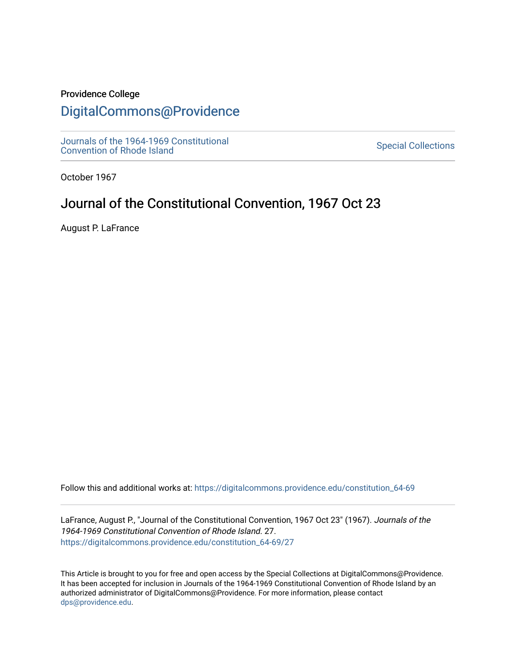## Providence College

## [DigitalCommons@Providence](https://digitalcommons.providence.edu/)

[Journals of the 1964-1969 Constitutional](https://digitalcommons.providence.edu/constitution_64-69)  Journals of the 1904-1909 Constitutional<br>[Convention of Rhode Island](https://digitalcommons.providence.edu/constitution_64-69)

October 1967

# Journal of the Constitutional Convention, 1967 Oct 23

August P. LaFrance

Follow this and additional works at: [https://digitalcommons.providence.edu/constitution\\_64-69](https://digitalcommons.providence.edu/constitution_64-69?utm_source=digitalcommons.providence.edu%2Fconstitution_64-69%2F27&utm_medium=PDF&utm_campaign=PDFCoverPages) 

LaFrance, August P., "Journal of the Constitutional Convention, 1967 Oct 23" (1967). Journals of the 1964-1969 Constitutional Convention of Rhode Island. 27. [https://digitalcommons.providence.edu/constitution\\_64-69/27](https://digitalcommons.providence.edu/constitution_64-69/27?utm_source=digitalcommons.providence.edu%2Fconstitution_64-69%2F27&utm_medium=PDF&utm_campaign=PDFCoverPages) 

This Article is brought to you for free and open access by the Special Collections at DigitalCommons@Providence. It has been accepted for inclusion in Journals of the 1964-1969 Constitutional Convention of Rhode Island by an authorized administrator of DigitalCommons@Providence. For more information, please contact [dps@providence.edu.](mailto:dps@providence.edu)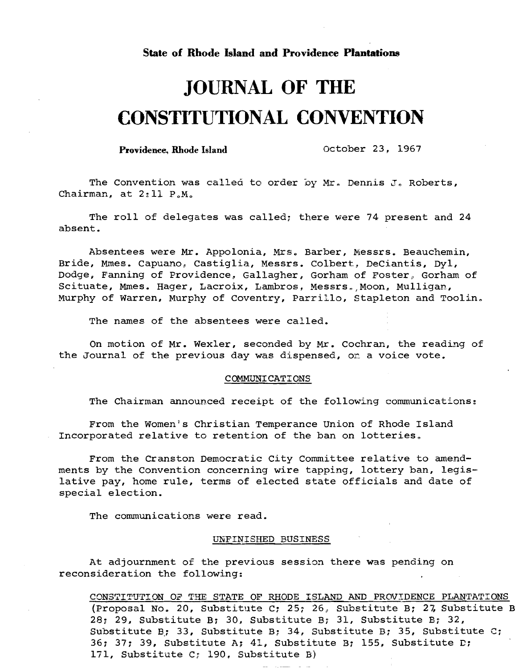### **State of Rhode Island and Providence Plantations**

# **JOURNAL OF THE CONSTITUTIONAL CONVENTION**

Providence, Rhode Island October 23, 1967

The Convention was called to order by Mr. Dennis J. Roberts, Chairman, at  $2:11$   $P.M.$ 

The roll of delegates was called; there were 74 present and 24 absent.

Absentees were Mr. Appolonia, Mrs. Barber, Messrs. Beauchemin, Bride, Mmes. Capuano, Castiglia, Messrs. Colbert, DeCiantis, Dyl, Dodge, Fanning of Providence, Gallagher, Gorham of Foster, Gorham of Scituate, Mmes. Hager, Lacroix, Lambros, Messrs. Moon, Mulligan, Murphy of Warren, Murphy of Coventry, Parrillo, Stapleton and Toolin.

The names of the absentees were called.

On motion of Mr. Wexler, seconded by Mr. Cochran, the reading of the Journal of the previous day was dispensed, on a voice vote.

#### COMMUNICATIONS

The Chairman announced receipt of the following communications:

From the Women's Christian Temperance Union of Rhode Island Incorporated relative to retention of the ban on lotteries.

From the Cranston Democratic City Committee relative to amendments by the Convention concerning wire tapping, lottery ban, legislative pay, home rule, terms of elected state officials and date of special election.

The communications were read.

### UNFINISHED BUSINESS

At adjournment of the previous session there was pending on reconsideration the following:

CONSTITUTION OF THE STATE OF RHODE ISLAND AND PROVIDENCE PLANTATIONS (Proposal No. 20, Substitute C; 25; 26, Substitute B; 27, Substitute B 28, 29, Substitute B: 30, Substitute B: 31, Substitute B: 32, Substitute B; 33, Substitute B; 34, Substitute B; 35, Substitute C; 36; 37; 39, Substitute A; 41, Substitute B; 155, Substitute D; 171, Substitute C; 190, Substitute B)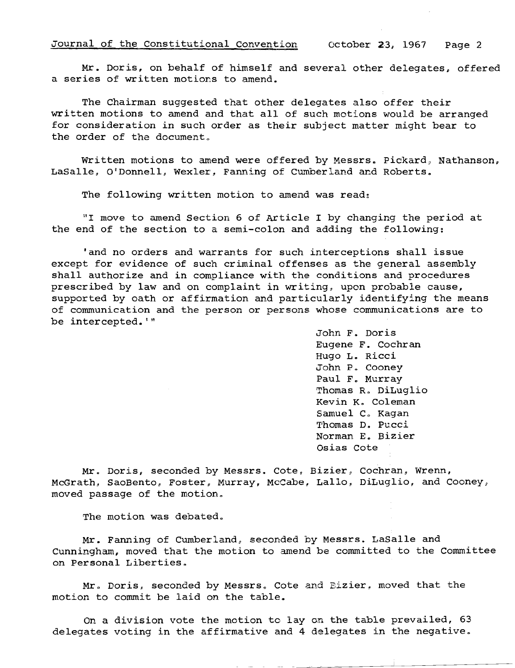Mr. Doris, on behalf of himself and several other delegates, offered a series of written motions to amend.

The Chairman suggested that other delegates also offer their written motions to amend and that all of such motions would be arranged for consideration in such order as their subject matter might bear to the order of the document.

Written motions to amend were offered by Messrs. Pickard, Nathanson, LaSalle, O'Donnell, Wexler, Fanning of Cumberland and Roberts.

The following written motion to amend was read:

"1 move to amend Section 6 of Article I by changing the period at the end of the section to a semi-colon and adding the following:

'and no orders and warrants for such interceptions shall issue except for evidence of such criminal offenses as the general assembly shall authorize and in compliance with the conditions and procedures prescribed by law and on complaint in writing, upon probable cause, supported by oath or affirmation and particularly identifying the means of communication and the person or persons whose communications are to be intercepted.'"'

> John F. Doris Eugene F. Cochran Hugo L. Ricci John P. Cooney Paul F. Murray Thomas R. DiLuglio Kevin K. Coleman Samuel C. Kagan Thomas D. Pucci Norman E. Bizier Osias Cote

Mr. Doris, seconded by Messrs. Cote, Bizier, Cochran, Wrenn, McGrath, SaoBento, Foster, Murray, McCabe, Lallo, DiLuglio, and Cooney, moved passage of the motion.

The motion was debated.

Mr. Fanning of Cumberland, seconded by Messrs. LaSalle and Cunningham, moved that the motion to amend be committed to the Committee on Personal Liberties.

Mr. Doris, seconded by Messrs. Cote and Bizier, moved that the motion to commit be laid on the table.

On a division vote the motion to lay on the table prevailed, 63 delegates voting in the affirmative and 4 delegates in the negative.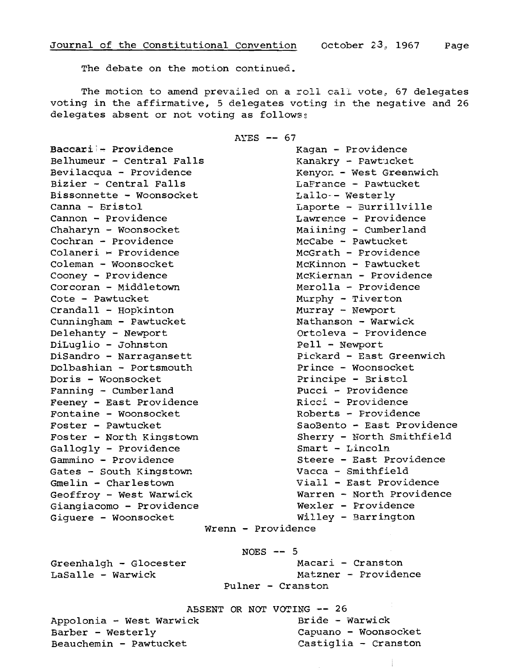The debate on the motion continued.

The motion to amend prevailed on a roll call vote, 67 delegates voting in the affirmative, 5 delegates voting in the negative and <sup>26</sup> delegates absent or not voting as follows:

AYES -- <sup>67</sup>

Baccari - Providence Kagan - Providence Belhumeur - Central Falls Kanakry - Pawtucket Bevilacqua - Providence The Renyon - West Greenwich Bizier - Central Falls LaFrance - Pawtucket Bissonnette - Woonsocket Lallo-- Westerly Canna - Bristol Laporte - Burri11vi11e Cannon - Providence Lawrence - Providence Chaharyn - Woonsocket Maiining - Cumberland Cochran - Providence McCabe - Pawtucket Colaneri - Providence McGrath - Providence Coleman - Woonsocket McKinnon - Pawtucket Cooney - Providence McKiernan - Providence Corcoran - Middletown Merolla - Providence Cote - Pawtucket Murphy - Tiverton Crandall - Hopkinton Murray - Newport Cunningham - Pawtucket Nathanson - Warwick Delehanty - Newport Crtoleva - Providence DiLug1io - Johnston Pe11 - Newport DiSandro - Narragansett Pickard - East Greenwich Do1bashian - Portsmouth Prince - Woonsocket Doris - Woonsocket **Principe - Bristol** Fanning - Cumberland **Pucci - Providence** Feeney - East Providence Ricci - Providence Fontaine - Woonsocket and Roberts - Providence Gallogly - Providence Smart - Lincoln Gammino - Providence<br>Gates - South Kingstown Vacca - Smithfield Gates - South Kingstown Gmelin - Charlestown Viall - East Providence Giangiacomo - Providence Wexler - Providence Giguere - Woonsocket Willey - Barrington

Foster - Pawtucket SaoBento - East Providence Foster - North Kingstown Sherry - North Smithfield Geoffroy - West Warwick Warren - North Providence Wrenn - Providence

Greenhalgh - Glocester Macari - Cranston

NOES **--** <sup>5</sup>

LaSalle - Warwick Matzner - Providence Pu1ner - Cranston

ABSENT OR NOT VOTING -- 26<br>ck Bride - Warwick  $Appolonia - West Warwick$ Barber - Westerly Capuano - Woonsocket Beauchemin - Pawtucket Castiglia - Cranston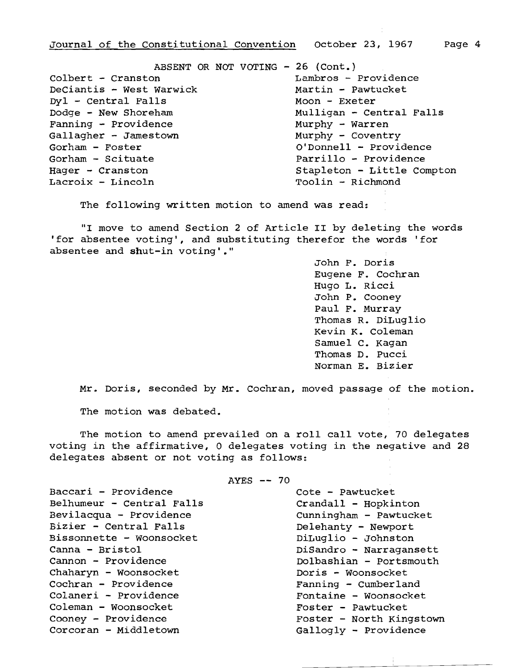ABSENT OR NOT VOTING - 26 (Cont.) Colbert - Cranston Lambros - Providence DeCiantis - West Warwick Martin - Pawtucket  $Dy1 - Central$  Falls ... . Moon - Exeter Dodge - New Shoreham Mulligan - Central Falls Fanning - Providence Murphy - Warren Gallagher - Jamestown Murphy - Coventry Gorham - Foster **Community** O'Donnell - Providence Gorham - Scituate **Parrillo - Providence** Hager - Cranston Stapleton - Little Compton

Toolin - Richmond

The following written motion to amend was read:

"I move to amend Section 2 of Article II by deleting the words 'for absentee voting', and substituting therefor the words 'for absentee and shut-in voting'."

> John F. Doris Eugene F. Cochran Hugo L. Ricci John P. Cooney Paul F. Murray Thomas R. DiLuglio Kevin K. coleman Samuel C. Kagan Thomas D. Pucci Norman E. Bizier

Mr. Doris, seconded by Mr. Cochran, moved passage of the motion.

The motion was debated.

The motion to amend prevailed on a roll call vote, 70 delegates voting in the affirmative, 0 delegates voting in the negative and 28 delegates absent or not voting as follows:

AYES -- <sup>70</sup>

Baccari - Providence Cote - Pawtucket Belhumeur - Central Falls Crandall - Hopkinton Bevilacqua - Providence cunningham - Pawtucket Bizier - Central Falls Delehanty - Newport Bissonnette - Woonsocket Moonsocket DiLuglio - Johnston Canna - Bristol DiSandro - Narragansett Cannon - Providence Dolbashian - Portsmouth Chaharyn - Woonsocket Doris - Woonsocket Cochran - Providence Fanning - Cumberland Colaneri - Providence entry and Fontaine - Woonsocket Coleman - Woonsocket Foster - Pawtucket Cooney - Providence **Foster - North Kingstown** Corcoran - Middletown Gallogly - Providence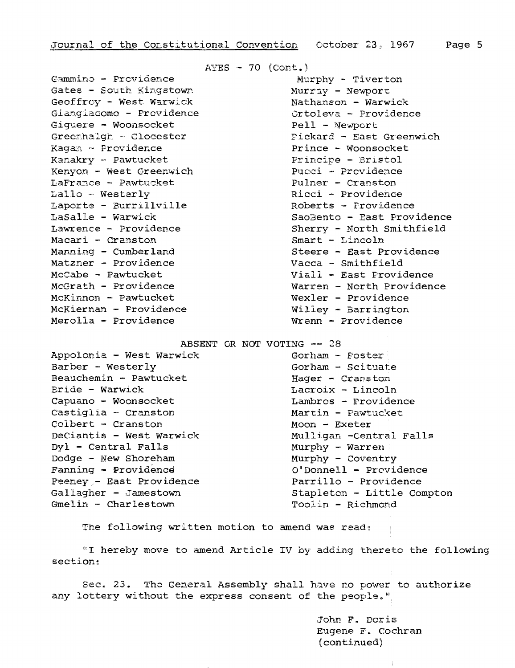Gammino - Providence Murphy - Tiverton Gates - South Kingstown Murray - Newport Geoffroy - West Warwick Nathanson - Warwick Giangiacomo - Providence controleva - Providence Giguere - Woonsocket en and Pell - Newport Kaga~'l Providence Prince - Woonsocket Kanakry - Pawtucket Kenyon - West Greenwich<br>LaFrance - Pawtucket Pullner - Cranston  $L$ aFrance - Pawtucket Lallo - Westerly **Example 2018** Ricci - Providence Laporte - Burrillville Roberts - Providence Macari - Cranston Smart - Lincoln Matzner - Providence McCabe - Pawtucket Viall - East Providence McKinnon - Pawtucket Wexler - Providence McKiernan - Providence Willey - Barrington Merolla - Providence Wrenn - Providence

 $AYES - 70 (Cont.)$ 

Greenhalgh - Glocester - Pickard - East Greenwich LaSalle - Warwick Saosento - East Providence Lawrence - Providence Sherry - North Smithfield Manning - Cumberland Steere - East Providence<br>Matzner - Providence Steere - Smithfield McGrath - Providence Warren - North Providence

ABSENT OR NOT VOTING -- <sup>28</sup>

Barber - Westerly Gorham - Scituate Beauchemin - Pawtucket Hager - Cranston Bride - Warwick Mathematics Lacroix - Lincoln Capuano - Woonsocket Lambros - Providence Castiglia - Cranston Martin - Pawtucket Colbert - Cranston Moon - Exeter DeCiantis - West Warwick Mulligan -Central Falls Dyl - Central Falls Murphy - Warren Dodge - New Shoreham Murphy - Coventry Fanning - Providence **O**Donnell - Providence Feeney,- East Providence<br>Gallagher - Jamestown entitle Computer Stapleton - Little Com Gmelin - Charlestown Toolin - Richmond

Appolonia - West Warwick . Gorham - Foster Stapleton - Little Compton

The following written motion to amend was read;

"I hereby move to amend Article IV by adding thereto the following  $section:$ 

Sec. 23. The General Assembly shall have no power to authorize any lottery without the express consent of the people."

> John F. Doris Eugene F. Cochran (continued)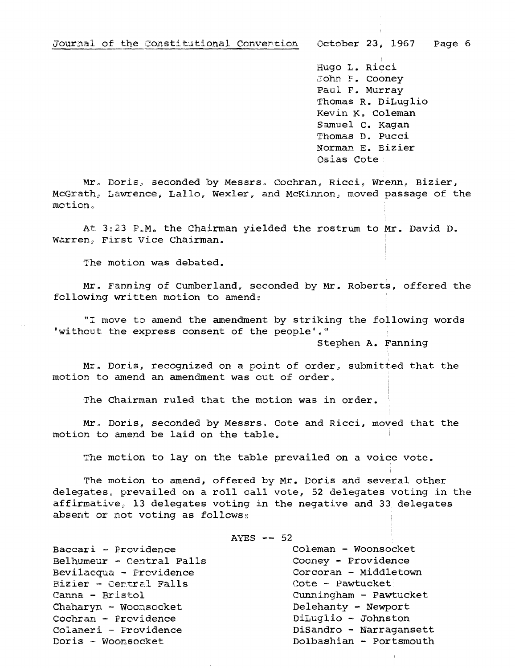Hugo L. Ricci John F. Cooney Paul F. Murray Thomas R. DiLug1io Kevin K. Coleman Samuel C. Kagan Thomas D. Pucci Norman E. Bizier Osias cote

 $Mr.$  Doris, seconded by Messrs. Cochran, Ricci, Wrenn, Bizier, McGrath, Lawrence. Lallo. Wexler. and McKinnon, moved passage of the motion.

At  $3:23$   $F.M.$  the Chairman yielded the rostrum to Mr. David D. Warren, First Vice Chairman.

The motion was debated.

Mr. Fanning of Cumberland, seconded by Mr. Roberts, offered the following written motion to amend:

"1 move to amend the amendment by striking the following words 'without the express consent of the people'."

Stephen A. Fanning

Mr. Doris, recognized on a point of order, submitted that the motion to amend an amendment was out of order.

The Chairman ruled that the motion was in order.

Mr. Doris, seconded by Messrs. Cote and Ricci, moved that the motion to amend be laid on the table.

The motion to lay on the table prevailed on a voice vote.

The motion to amend, offered by Mr. Doris and several other delegates, prevailed on a roll call vote, 52 delegates voting in the affirmative, 13 delegates voting in the negative and 33 delegates absent or not voting as follows:

 $AYES$  -- 52

Baccari - Providence<br>Belhumeur - Central Falls Cooney - Providence Belhumeur - Central Falls Bevilacqua - Providence Corcoran - Middletown<br>Bizier - Central Falls Cote - Pawtucket Bizier - Central Falls<br>Canna - Bristol Chaharyn - Woonsocket Delehanty - Newport Cochran - Providence DiLuglio - Johnston Colaneri - Providence DiSandro - Narragansett

Cunningham - Pawtucket  $Dolbashian -$  Portsmouth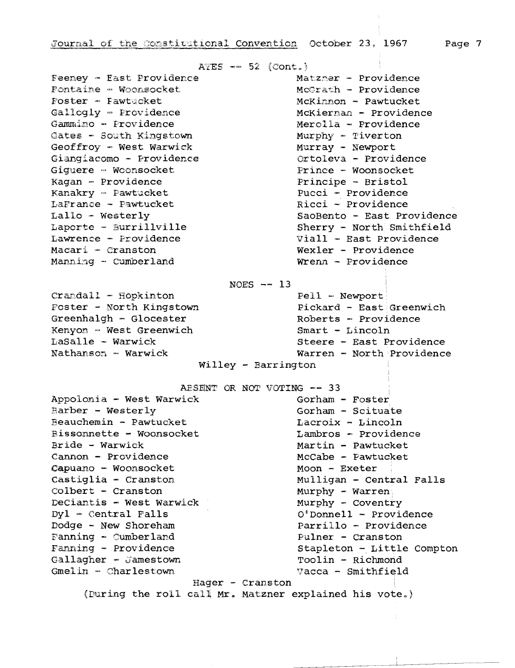Feeney - East Providence Fontaine - Woonsocket Foster - Fawtucket Gallogly - Providence Gammino - Providence Gates - South Kingstown Geoffroy - West Warwick Giangiacomo - Providence Giguere - Woonsocket Kagan - Providence Kanakry - Pawtucket LaFrance - Pawtucket  $Lallo - Westerly$ Laporte - Burrillville Lawrence - Providence Macari - Cranston

Manning - Cumberland

 $AYES$  -- 52 (Cont.)

Matzmer - Providence McGrath - Providence McKinnon - Pawtucket McKiernan - Providence Merolla - Providence Murphy - Tiverton Murray - Newport Ortoleva - Providence Prince - Woonsocket Principe - Bristol Pucci - Providence Ricci - Providence SaoBento - East Providence Sherry - North Smithfield Viall - East Providence Wexler - Providence Wrenn - Providence

NOES  $-- 13$ 

 $Crandall$  -  $Hopkinton$ Foster - North Kingstown Greenhalgh - Glocester Kenyon - West Greenwich LaSalle - Warwick Nathanson - Warwick

Pell - Newport Pickard - East Greenwich Roberts - Providence  $Smart - Lincoln$ Steere - East Providence Warren - North Providence

 $Willley - Barrington$ 

AESENT OR NOT VOTING -- 33

Appolonia - West Warwick Barber - Westerly Beauchemin - Pawtucket Bissonnette - Woonsocket Bride - Warwick Cannon - Providence Capuano - Woonsocket Castiglia - Cranston  $\text{Colbert}$  - Cranston DeCiantis - West Warwick  $Dy1 - Central$  Falls Dodge - New Shoreham Fanning - Cumberland Fanning - Providence Gallagher - Jamestown Gmelin - Charlestown

Gorham  $-$  Foster Gorham - Scituate Lacroix - Lincoln Lambros - Providence Martin - Pawtucket McCabe - Pawtucket Moon - Exeter Mulligan - Central Falls Murphy - Warren Murphy - Coventry  $0'$ Donnell - Providence Parrillo - Providence Pulner - Cranston Stapleton - Little Compton Toolin - Richmond Vacca - Smithfield

Hager - Cranston

(During the roll call Mr. Matzner explained his vote.)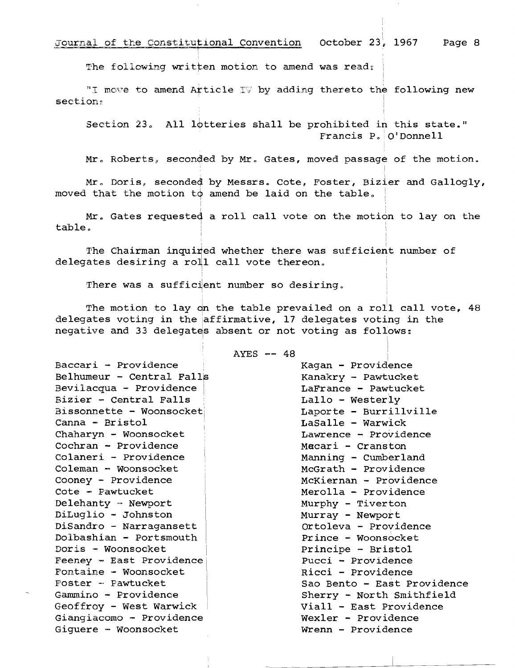Journal of the Constitutional Convention 0ctober 23, 1967 Page 8

The following written motion to amend was read:

"I move to amend Article IV by adding thereto the following new section~.

Section 23. All lotteries shall be prohibited in this state." Francis  $P_a$  O'Donnell

Mr. Roberts, seconded by Mr. Gates, moved passage of the motion.

Mr. Doris, seconded by Messrs. Cote, Foster, Bizier and Gallogly, moved that the motion to amend be laid on the table.

Mr. Gates requested a roll call vote on the motion to lay on the  $table.$ 

The Chairman inquired whether there was sufficient number of delegates desiring a roll call vote thereon.

There was a sufficient number so desiring,

,

The motion to lay on the table prevailed on a roll call vote, 48 delegates voting in the affirmative, 17 delegates voting in the negative and 33 delegates absent or not voting as follows:

AYES **- 48** 

Baccari - Providence , Kagan - Providence Belhumeur - Central Falls<br>
Kanakry - Pawtucket Bevilacqua - Providence | Carrance - Pawtucket Bizier - Central Falls and Lallo - Westerly Bissonnette - Woonsocket | Moonsocket | Laporte - Burrillville Canna - Bristol and LaSalle - Warwick Chaharyn - Woonsocket Lawrence - Providence Cochran - Providence Macari - Cranston Colaneri - Providence | Manning - Cumberland Coleman - Woonsocket McGrath - Providence Cooney - Providence | McKiernan - Providence Cote - Pawtucket Merolla - Providence Delehanty = Newport | Murphy - Tiverton DiLuglio - Johnston | Murray - Newport DiSandro - Narragansett | Controleva - Providence Dolbashian - Portsmouth Prince - Woonsocket Doris - Woonsocket and Principe - Bristol Feeney - East Providence | Pucci - Providence Fontaine - Woonsocket Ricci - Providence<br>
Foster - Pawtucket Sao Bento - East Pl Geoffroy - west Warwick Viall - East Providence  $G$ ianqiacomo - Providence Giquere - Woonsocket Wienn - Providence

Sao Bento - East Providence Gammino - Providence | Sherry - North Smithfield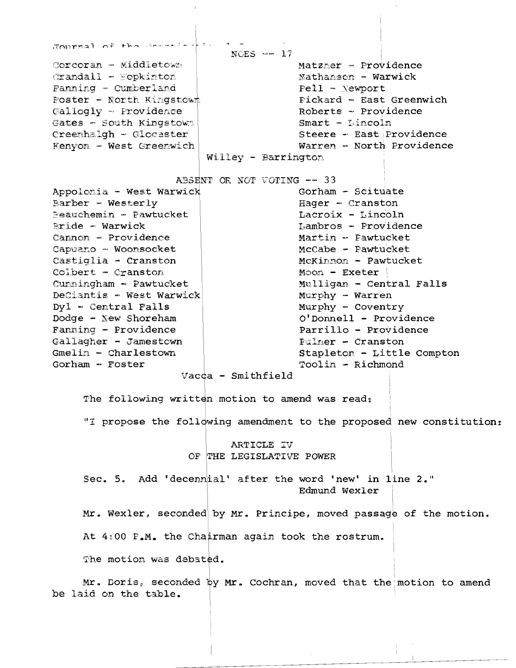JOUTEBUL OF the Second L  $NCES = 17$ Corcoran - Middletown Matzner - Providence  $Crandall = Eopkinton$ Nathanson - Warwick Fanning - Cumberland  $Pell -$  Newport Poster - North Kingstown Pickard - East Greenwich Roberts - Providence Callogly - Providence  $Smart - Lincoln$ Gates - South Kingstown Creenhalgh - Glocester Steere - East Providence Kenyon - West Greenwich Warren - North Providence Willey - Barrington ABSENT OR NOT VOTING -- 33 Gorham - Scituate Appolonia - West Warwick Barber - Westerly  $Haqer - Cranston$ **Peauchemin - Pawtucket** Lacroix - Lincoln Lambros - Providence  $Bride - Warwick$ Cannon - Providence Martin - Pawtucket Capuano - Woonsocket McCabe - Pawtucket Castiglia - Cranston McKinnon - Pawtucket  $Colbert - Cranston$ Moon - Exeter Cunningham - Pawtucket Mulligan - Central Falls DeCiantis - West Warwick Murphy - Warren Murphy - Coventry  $Dy1 - Central$  Falls O'Donnell - Providence Dodge - New Shoreham Fanning - Providence Parrillo - Providence Gallagher - Jamestown **Fulmer - Cranston**  $Gmelin - Charlestown$ Stapleton - Little Compton Gorham  $-$  Foster Toolin - Richmond Vacca - Smithfield The following written motion to amend was read: "I propose the following amendment to the proposed new constitution: ARTICLE IV OF THE LEGISLATIVE POWER Sec. 5. Add 'decennial' after the word 'new' in line 2." Edmund Wexler Mr. Wexler, seconded by Mr. Principe, moved passage of the motion. At 4:00 P.M. the Chairman again took the rostrum. The motion was debated. Mr. Doris, seconded by Mr. Cochran, moved that the motion to amend be laid on the table.